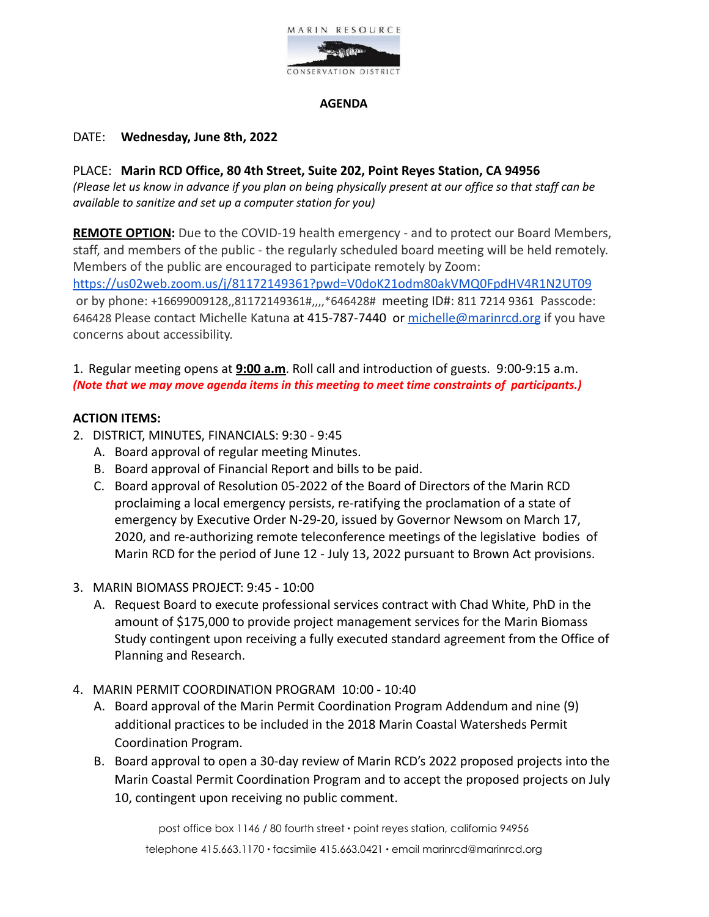

#### **AGENDA**

#### DATE: **Wednesday, June 8th, 2022**

PLACE: **Marin RCD Office, 80 4th Street, Suite 202, Point Reyes Station, CA 94956** *(Please let us know in advance if you plan on being physically present at our office so that staff can be available to sanitize and set up a computer station for you)*

**REMOTE OPTION:** Due to the COVID-19 health emergency - and to protect our Board Members, staff, and members of the public - the regularly scheduled board meeting will be held remotely. Members of the public are encouraged to participate remotely by Zoom: <https://us02web.zoom.us/j/81172149361?pwd=V0doK21odm80akVMQ0FpdHV4R1N2UT09> or by phone: +16699009128,,81172149361#,,,,\*646428# meeting ID#: 811 7214 9361 Passcode: 646428 Please contact Michelle Katuna at 415-787-7440 or [michelle@marinrcd.org](mailto:michelle@marinrcd.org) if you have concerns about accessibility.

1. Regular meeting opens at **9:00 a.m**. Roll call and introduction of guests. 9:00-9:15 a.m. *(Note that we may move agenda items in this meeting to meet time constraints of participants.)*

#### **ACTION ITEMS:**

- 2. DISTRICT, MINUTES, FINANCIALS: 9:30 9:45
	- A. Board approval of regular meeting Minutes.
	- B. Board approval of Financial Report and bills to be paid.
	- C. Board approval of Resolution 05-2022 of the Board of Directors of the Marin RCD proclaiming a local emergency persists, re-ratifying the proclamation of a state of emergency by Executive Order N-29-20, issued by Governor Newsom on March 17, 2020, and re-authorizing remote teleconference meetings of the legislative bodies of Marin RCD for the period of June 12 - July 13, 2022 pursuant to Brown Act provisions.
- 3. MARIN BIOMASS PROJECT: 9:45 10:00
	- A. Request Board to execute professional services contract with Chad White, PhD in the amount of \$175,000 to provide project management services for the Marin Biomass Study contingent upon receiving a fully executed standard agreement from the Office of Planning and Research.
- 4. MARIN PERMIT COORDINATION PROGRAM 10:00 10:40
	- A. Board approval of the Marin Permit Coordination Program Addendum and nine (9) additional practices to be included in the 2018 Marin Coastal Watersheds Permit Coordination Program.
	- B. Board approval to open a 30-day review of Marin RCD's 2022 proposed projects into the Marin Coastal Permit Coordination Program and to accept the proposed projects on July 10, contingent upon receiving no public comment.

post office box 1146 / 80 fourth street ∙ point reyes station, california 94956 telephone 415.663.1170 ∙ facsimile 415.663.0421 ∙ email marinrcd@marinrcd.org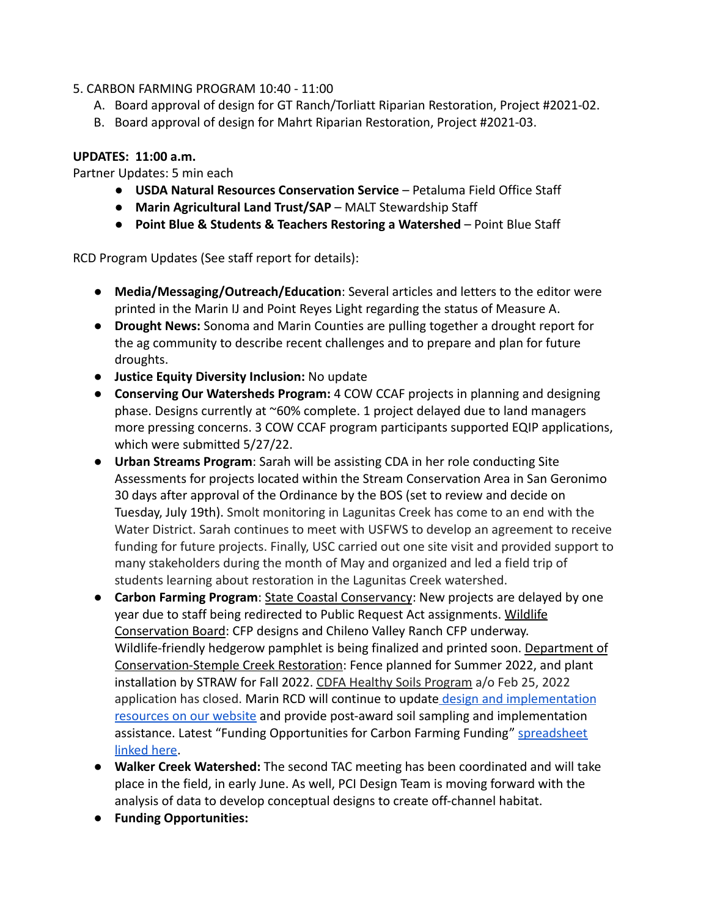# 5. CARBON FARMING PROGRAM 10:40 - 11:00

- A. Board approval of design for GT Ranch/Torliatt Riparian Restoration, Project #2021-02.
- B. Board approval of design for Mahrt Riparian Restoration, Project #2021-03.

# **UPDATES: 11:00 a.m.**

Partner Updates: 5 min each

- **USDA Natural Resources Conservation Service** Petaluma Field Office Staff
- **Marin Agricultural Land Trust/SAP** MALT Stewardship Staff
- **Point Blue & Students & Teachers Restoring a Watershed** Point Blue Staff

RCD Program Updates (See staff report for details):

- **Media/Messaging/Outreach/Education**: Several articles and letters to the editor were printed in the Marin IJ and Point Reyes Light regarding the status of Measure A.
- **Drought News:** Sonoma and Marin Counties are pulling together a drought report for the ag community to describe recent challenges and to prepare and plan for future droughts.
- **Justice Equity Diversity Inclusion:** No update
- **Conserving Our Watersheds Program:** 4 COW CCAF projects in planning and designing phase. Designs currently at ~60% complete. 1 project delayed due to land managers more pressing concerns. 3 COW CCAF program participants supported EQIP applications, which were submitted 5/27/22.
- **Urban Streams Program**: Sarah will be assisting CDA in her role conducting Site Assessments for projects located within the Stream Conservation Area in San Geronimo 30 days after approval of the Ordinance by the BOS (set to review and decide on Tuesday, July 19th). Smolt monitoring in Lagunitas Creek has come to an end with the Water District. Sarah continues to meet with USFWS to develop an agreement to receive funding for future projects. Finally, USC carried out one site visit and provided support to many stakeholders during the month of May and organized and led a field trip of students learning about restoration in the Lagunitas Creek watershed.
- **Carbon Farming Program**: State Coastal Conservancy: New projects are delayed by one year due to staff being redirected to Public Request Act assignments. Wildlife Conservation Board: CFP designs and Chileno Valley Ranch CFP underway. Wildlife-friendly hedgerow pamphlet is being finalized and printed soon. Department of Conservation-Stemple Creek Restoration: Fence planned for Summer 2022, and plant installation by STRAW for Fall 2022. CDFA Healthy Soils Program a/o Feb 25, 2022 application has closed. Marin RCD will continue to update [design and implementation](https://www.marinrcd.org/carbon-farm-implementation/) [resources on our website](https://www.marinrcd.org/carbon-farm-implementation/) and provide post-award soil sampling and implementation assistance. Latest "Funding Opportunities for Carbon Farming Funding" [spreadsheet](https://www.marinrcd.org/wp/wp-content/uploads/2022/02/Funding-for-Carbon-Farming-in-Marin_Feb2022update1.pdf) [linked here](https://www.marinrcd.org/wp/wp-content/uploads/2022/02/Funding-for-Carbon-Farming-in-Marin_Feb2022update1.pdf).
- **Walker Creek Watershed:** The second TAC meeting has been coordinated and will take place in the field, in early June. As well, PCI Design Team is moving forward with the analysis of data to develop conceptual designs to create off-channel habitat.
- **Funding Opportunities:**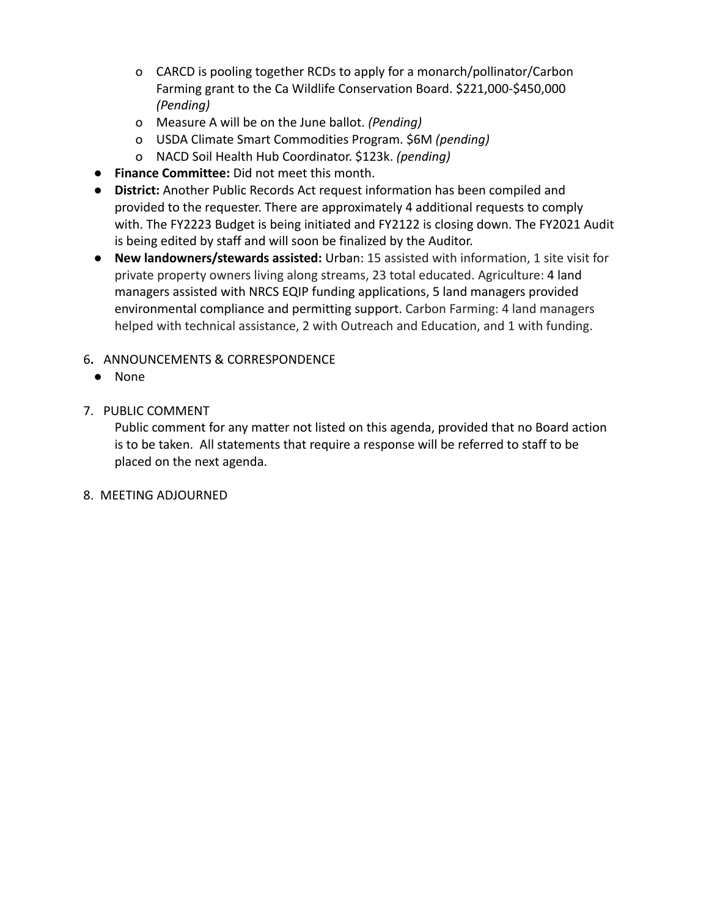- o CARCD is pooling together RCDs to apply for a monarch/pollinator/Carbon Farming grant to the Ca Wildlife Conservation Board. \$221,000-\$450,000 *(Pending)*
- o Measure A will be on the June ballot. *(Pending)*
- o USDA Climate Smart Commodities Program. \$6M *(pending)*
- o NACD Soil Health Hub Coordinator. \$123k. *(pending)*
- **Finance Committee:** Did not meet this month.
- **District:** Another Public Records Act request information has been compiled and provided to the requester. There are approximately 4 additional requests to comply with. The FY2223 Budget is being initiated and FY2122 is closing down. The FY2021 Audit is being edited by staff and will soon be finalized by the Auditor.
- **New landowners/stewards assisted:** Urban: 15 assisted with information, 1 site visit for private property owners living along streams, 23 total educated. Agriculture: 4 land managers assisted with NRCS EQIP funding applications, 5 land managers provided environmental compliance and permitting support. Carbon Farming: 4 land managers helped with technical assistance, 2 with Outreach and Education, and 1 with funding.
- 6**.** ANNOUNCEMENTS & CORRESPONDENCE
- None
- 7. PUBLIC COMMENT

Public comment for any matter not listed on this agenda, provided that no Board action is to be taken. All statements that require a response will be referred to staff to be placed on the next agenda.

8. MEETING ADJOURNED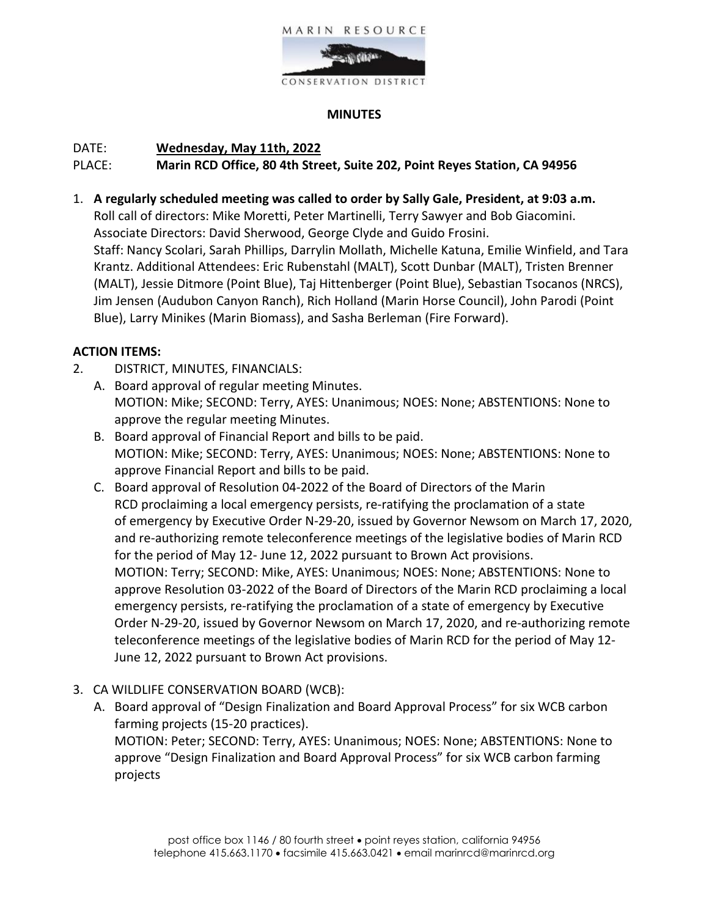

# **MINUTES**

# DATE: **Wednesday, May 11th, 2022**

# PLACE: **Marin RCD Office, 80 4th Street, Suite 202, Point Reyes Station, CA 94956**

1. **A regularly scheduled meeting was called to order by Sally Gale, President, at 9:03 a.m.** Roll call of directors: Mike Moretti, Peter Martinelli, Terry Sawyer and Bob Giacomini. Associate Directors: David Sherwood, George Clyde and Guido Frosini. Staff: Nancy Scolari, Sarah Phillips, Darrylin Mollath, Michelle Katuna, Emilie Winfield, and Tara Krantz. Additional Attendees: Eric Rubenstahl (MALT), Scott Dunbar (MALT), Tristen Brenner (MALT), Jessie Ditmore (Point Blue), Taj Hittenberger (Point Blue), Sebastian Tsocanos (NRCS), Jim Jensen (Audubon Canyon Ranch), Rich Holland (Marin Horse Council), John Parodi (Point Blue), Larry Minikes (Marin Biomass), and Sasha Berleman (Fire Forward).

# **ACTION ITEMS:**

- 2. DISTRICT, MINUTES, FINANCIALS:
	- A. Board approval of regular meeting Minutes. MOTION: Mike; SECOND: Terry, AYES: Unanimous; NOES: None; ABSTENTIONS: None to approve the regular meeting Minutes.
	- B. Board approval of Financial Report and bills to be paid. MOTION: Mike; SECOND: Terry, AYES: Unanimous; NOES: None; ABSTENTIONS: None to approve Financial Report and bills to be paid.
	- C. Board approval of Resolution 04-2022 of the Board of Directors of the Marin RCD proclaiming a local emergency persists, re-ratifying the proclamation of a state of emergency by Executive Order N-29-20, issued by Governor Newsom on March 17, 2020, and re-authorizing remote teleconference meetings of the legislative bodies of Marin RCD for the period of May 12- June 12, 2022 pursuant to Brown Act provisions. MOTION: Terry; SECOND: Mike, AYES: Unanimous; NOES: None; ABSTENTIONS: None to approve Resolution 03-2022 of the Board of Directors of the Marin RCD proclaiming a local emergency persists, re-ratifying the proclamation of a state of emergency by Executive Order N-29-20, issued by Governor Newsom on March 17, 2020, and re-authorizing remote teleconference meetings of the legislative bodies of Marin RCD for the period of May 12- June 12, 2022 pursuant to Brown Act provisions.
- 3. CA WILDLIFE CONSERVATION BOARD (WCB):
	- A. Board approval of "Design Finalization and Board Approval Process" for six WCB carbon farming projects (15-20 practices). MOTION: Peter; SECOND: Terry, AYES: Unanimous; NOES: None; ABSTENTIONS: None to approve "Design Finalization and Board Approval Process" for six WCB carbon farming projects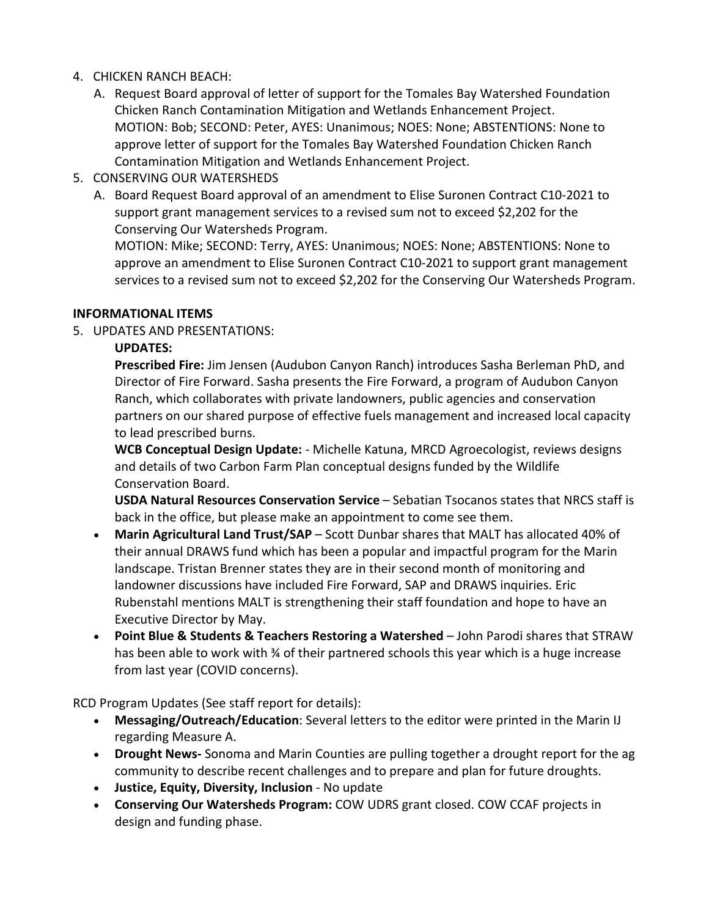# 4. CHICKEN RANCH BEACH:

- A. Request Board approval of letter of support for the Tomales Bay Watershed Foundation Chicken Ranch Contamination Mitigation and Wetlands Enhancement Project. MOTION: Bob; SECOND: Peter, AYES: Unanimous; NOES: None; ABSTENTIONS: None to approve letter of support for the Tomales Bay Watershed Foundation Chicken Ranch Contamination Mitigation and Wetlands Enhancement Project.
- 5. CONSERVING OUR WATERSHEDS
	- A. Board Request Board approval of an amendment to Elise Suronen Contract C10-2021 to support grant management services to a revised sum not to exceed \$2,202 for the Conserving Our Watersheds Program.

MOTION: Mike; SECOND: Terry, AYES: Unanimous; NOES: None; ABSTENTIONS: None to approve an amendment to Elise Suronen Contract C10-2021 to support grant management services to a revised sum not to exceed \$2,202 for the Conserving Our Watersheds Program.

# **INFORMATIONAL ITEMS**

5. UPDATES AND PRESENTATIONS:

# **UPDATES:**

**Prescribed Fire:** Jim Jensen (Audubon Canyon Ranch) introduces Sasha Berleman PhD, and Director of Fire Forward. Sasha presents the Fire Forward, a program of Audubon Canyon Ranch, which collaborates with private landowners, public agencies and conservation partners on our shared purpose of effective fuels management and increased local capacity to lead prescribed burns.

**WCB Conceptual Design Update:** - Michelle Katuna, MRCD Agroecologist, reviews designs and details of two Carbon Farm Plan conceptual designs funded by the Wildlife Conservation Board.

**USDA Natural Resources Conservation Service** – Sebatian Tsocanos states that NRCS staff is back in the office, but please make an appointment to come see them.

- **Marin Agricultural Land Trust/SAP**  Scott Dunbar shares that MALT has allocated 40% of their annual DRAWS fund which has been a popular and impactful program for the Marin landscape. Tristan Brenner states they are in their second month of monitoring and landowner discussions have included Fire Forward, SAP and DRAWS inquiries. Eric Rubenstahl mentions MALT is strengthening their staff foundation and hope to have an Executive Director by May.
- **Point Blue & Students & Teachers Restoring a Watershed** John Parodi shares that STRAW has been able to work with % of their partnered schools this year which is a huge increase from last year (COVID concerns).

RCD Program Updates (See staff report for details):

- **Messaging/Outreach/Education**: Several letters to the editor were printed in the Marin IJ regarding Measure A.
- **Drought News-** Sonoma and Marin Counties are pulling together a drought report for the ag community to describe recent challenges and to prepare and plan for future droughts.
- **Justice, Equity, Diversity, Inclusion**  No update
- **Conserving Our Watersheds Program:** COW UDRS grant closed. COW CCAF projects in design and funding phase.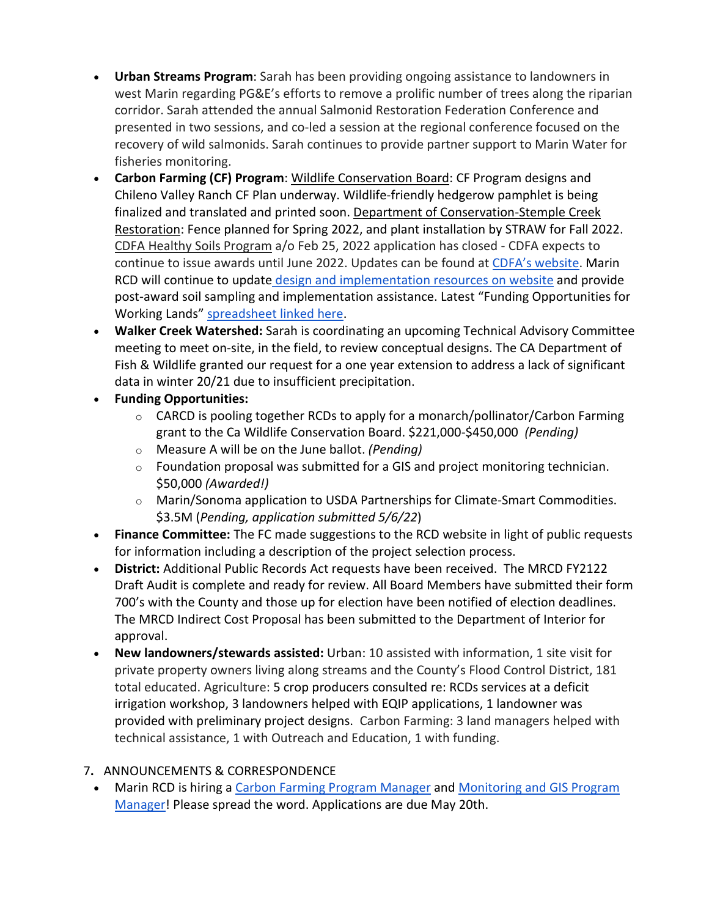- **Urban Streams Program**: Sarah has been providing ongoing assistance to landowners in west Marin regarding PG&E's efforts to remove a prolific number of trees along the riparian corridor. Sarah attended the annual Salmonid Restoration Federation Conference and presented in two sessions, and co-led a session at the regional conference focused on the recovery of wild salmonids. Sarah continues to provide partner support to Marin Water for fisheries monitoring.
- **Carbon Farming (CF) Program**: Wildlife Conservation Board: CF Program designs and Chileno Valley Ranch CF Plan underway. Wildlife-friendly hedgerow pamphlet is being finalized and translated and printed soon. Department of Conservation-Stemple Creek Restoration: Fence planned for Spring 2022, and plant installation by STRAW for Fall 2022. CDFA Healthy Soils Program a/o Feb 25, 2022 application has closed - CDFA expects to continue to issue awards until June 2022. Updates can be found at [CDFA's website.](https://www.cdfa.ca.gov/oefi/healthysoils/IncentivesProgram.html) Marin RCD will continue to update [design and implementation resources on website](https://www.marinrcd.org/carbon-farm-implementation/) and provide post-award soil sampling and implementation assistance. Latest "Funding Opportunities for Working Lands" [spreadsheet linked here.](https://www.marinrcd.org/wp/wp-content/uploads/2022/04/Funding-for-Working-Lands-in-Marin_Apr_28_2022update-1.pdf)
- **Walker Creek Watershed:** Sarah is coordinating an upcoming Technical Advisory Committee meeting to meet on-site, in the field, to review conceptual designs. The CA Department of Fish & Wildlife granted our request for a one year extension to address a lack of significant data in winter 20/21 due to insufficient precipitation.
- **Funding Opportunities:**
	- $\circ$  CARCD is pooling together RCDs to apply for a monarch/pollinator/Carbon Farming grant to the Ca Wildlife Conservation Board. \$221,000-\$450,000 *(Pending)*
	- o Measure A will be on the June ballot. *(Pending)*
	- $\circ$  Foundation proposal was submitted for a GIS and project monitoring technician. \$50,000 *(Awarded!)*
	- o Marin/Sonoma application to USDA Partnerships for Climate-Smart Commodities. \$3.5M (*Pending, application submitted 5/6/22*)
- **Finance Committee:** The FC made suggestions to the RCD website in light of public requests for information including a description of the project selection process.
- **District:** Additional Public Records Act requests have been received. The MRCD FY2122 Draft Audit is complete and ready for review. All Board Members have submitted their form 700's with the County and those up for election have been notified of election deadlines. The MRCD Indirect Cost Proposal has been submitted to the Department of Interior for approval.
- **New landowners/stewards assisted:** Urban: 10 assisted with information, 1 site visit for private property owners living along streams and the County's Flood Control District, 181 total educated. Agriculture: 5 crop producers consulted re: RCDs services at a deficit irrigation workshop, 3 landowners helped with EQIP applications, 1 landowner was provided with preliminary project designs. Carbon Farming: 3 land managers helped with technical assistance, 1 with Outreach and Education, 1 with funding.

# 7**.** ANNOUNCEMENTS & CORRESPONDENCE

• Marin RCD is hiring a [Carbon Farming Program Manager](https://marinresourceconservationdistr.box.com/s/jzej4rnrmpabva357vlal778zwgb2iis) and [Monitoring and GIS Program](https://marinresourceconservationdistr.box.com/s/ikpgettvfokuaidiy97v362ksq72mb72)  [Manager!](https://marinresourceconservationdistr.box.com/s/ikpgettvfokuaidiy97v362ksq72mb72) Please spread the word. Applications are due May 20th.